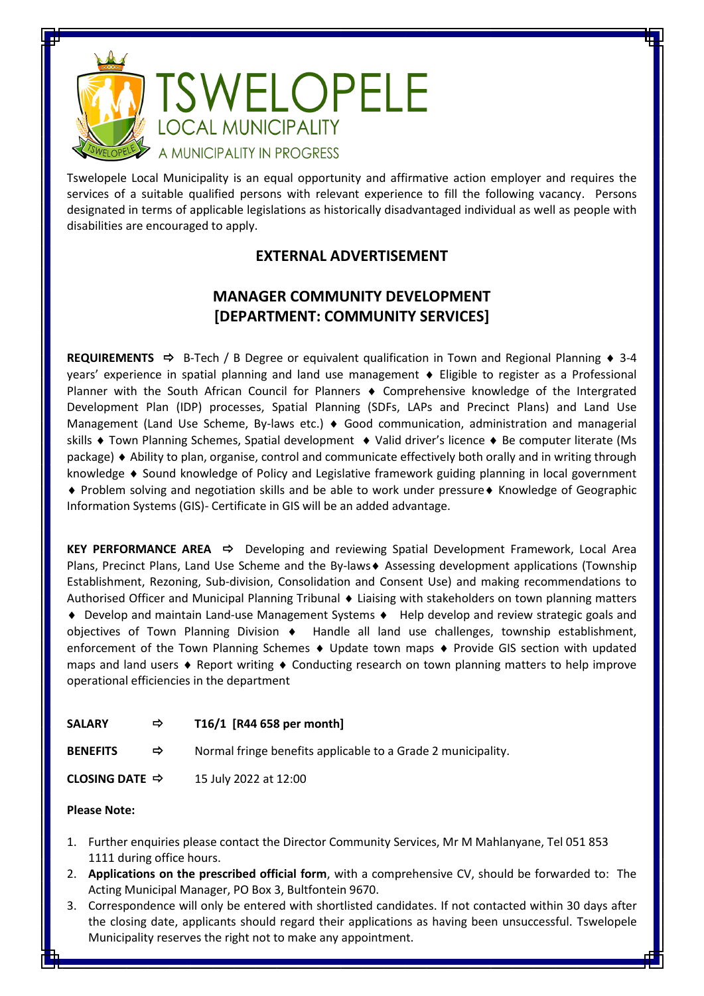

Tswelopele Local Municipality is an equal opportunity and affirmative action employer and requires the services of a suitable qualified persons with relevant experience to fill the following vacancy. Persons designated in terms of applicable legislations as historically disadvantaged individual as well as people with disabilities are encouraged to apply.

## **EXTERNAL ADVERTISEMENT**

## **MANAGER COMMUNITY DEVELOPMENT [DEPARTMENT: COMMUNITY SERVICES]**

**REQUIREMENTS**  $\Rightarrow$  B-Tech / B Degree or equivalent qualification in Town and Regional Planning  $\bullet$  3-4 years' experience in spatial planning and land use management Eligible to register as a Professional Planner with the South African Council for Planners  $\bullet$  Comprehensive knowledge of the Intergrated Development Plan (IDP) processes, Spatial Planning (SDFs, LAPs and Precinct Plans) and Land Use Management (Land Use Scheme, By-laws etc.)  $\blacklozenge$  Good communication, administration and managerial skills  $\bullet$  Town Planning Schemes, Spatial development  $\bullet$  Valid driver's licence  $\bullet$  Be computer literate (Ms package) Ability to plan, organise, control and communicate effectively both orally and in writing through knowledge  $\bullet$  Sound knowledge of Policy and Legislative framework guiding planning in local government • Problem solving and negotiation skills and be able to work under pressure • Knowledge of Geographic Information Systems (GIS)- Certificate in GIS will be an added advantage.

**KEY PERFORMANCE AREA →** Developing and reviewing Spatial Development Framework, Local Area Plans, Precinct Plans, Land Use Scheme and the By-laws + Assessing development applications (Township Establishment, Rezoning, Sub-division, Consolidation and Consent Use) and making recommendations to Authorised Officer and Municipal Planning Tribunal  $\bullet$  Liaising with stakeholders on town planning matters ◆ Develop and maintain Land-use Management Systems ◆ Help develop and review strategic goals and objectives of Town Planning Division  $\bullet$  Handle all land use challenges, township establishment, enforcement of the Town Planning Schemes  $\bullet$  Update town maps  $\bullet$  Provide GIS section with updated maps and land users  $\triangle$  Report writing  $\triangle$  Conducting research on town planning matters to help improve operational efficiencies in the department

| <b>SALARY</b> | T16/1 [R44 658 per month] |
|---------------|---------------------------|
|---------------|---------------------------|

**BENEFITS**  $\Rightarrow$  Normal fringe benefits applicable to a Grade 2 municipality.

**CLOSING DATE**  $\Rightarrow$  15 July 2022 at 12:00

## **Please Note:**

- 1. Further enquiries please contact the Director Community Services, Mr M Mahlanyane, Tel 051 853 1111 during office hours.
- 2. **Applications on the prescribed official form**, with a comprehensive CV, should be forwarded to: The Acting Municipal Manager, PO Box 3, Bultfontein 9670.
- 3. Correspondence will only be entered with shortlisted candidates. If not contacted within 30 days after the closing date, applicants should regard their applications as having been unsuccessful. Tswelopele Municipality reserves the right not to make any appointment.